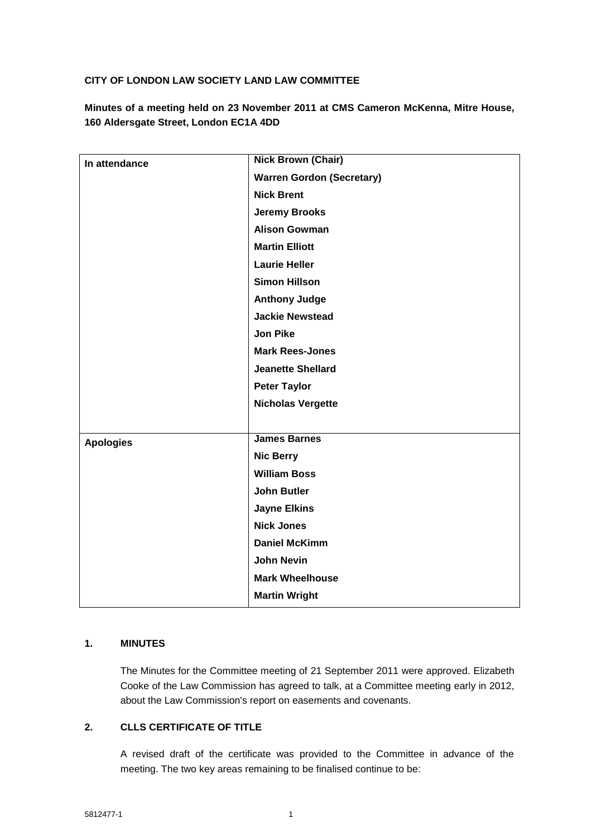## **CITY OF LONDON LAW SOCIETY LAND LAW COMMITTEE**

**Minutes of a meeting held on 23 November 2011 at CMS Cameron McKenna, Mitre House, 160 Aldersgate Street, London EC1A 4DD**

| In attendance    | <b>Nick Brown (Chair)</b>        |
|------------------|----------------------------------|
|                  | <b>Warren Gordon (Secretary)</b> |
|                  | <b>Nick Brent</b>                |
|                  | <b>Jeremy Brooks</b>             |
|                  | <b>Alison Gowman</b>             |
|                  | <b>Martin Elliott</b>            |
|                  | <b>Laurie Heller</b>             |
|                  | <b>Simon Hillson</b>             |
|                  | <b>Anthony Judge</b>             |
|                  | <b>Jackie Newstead</b>           |
|                  | <b>Jon Pike</b>                  |
|                  | <b>Mark Rees-Jones</b>           |
|                  | <b>Jeanette Shellard</b>         |
|                  | <b>Peter Taylor</b>              |
|                  | <b>Nicholas Vergette</b>         |
|                  |                                  |
| <b>Apologies</b> | <b>James Barnes</b>              |
|                  | <b>Nic Berry</b>                 |
|                  | <b>William Boss</b>              |
|                  | <b>John Butler</b>               |
|                  | <b>Jayne Elkins</b>              |
|                  | <b>Nick Jones</b>                |
|                  | <b>Daniel McKimm</b>             |
|                  | <b>John Nevin</b>                |
|                  | <b>Mark Wheelhouse</b>           |
|                  | <b>Martin Wright</b>             |
|                  |                                  |

## **1. MINUTES**

The Minutes for the Committee meeting of 21 September 2011 were approved. Elizabeth Cooke of the Law Commission has agreed to talk, at a Committee meeting early in 2012, about the Law Commission's report on easements and covenants.

# **2. CLLS CERTIFICATE OF TITLE**

A revised draft of the certificate was provided to the Committee in advance of the meeting. The two key areas remaining to be finalised continue to be: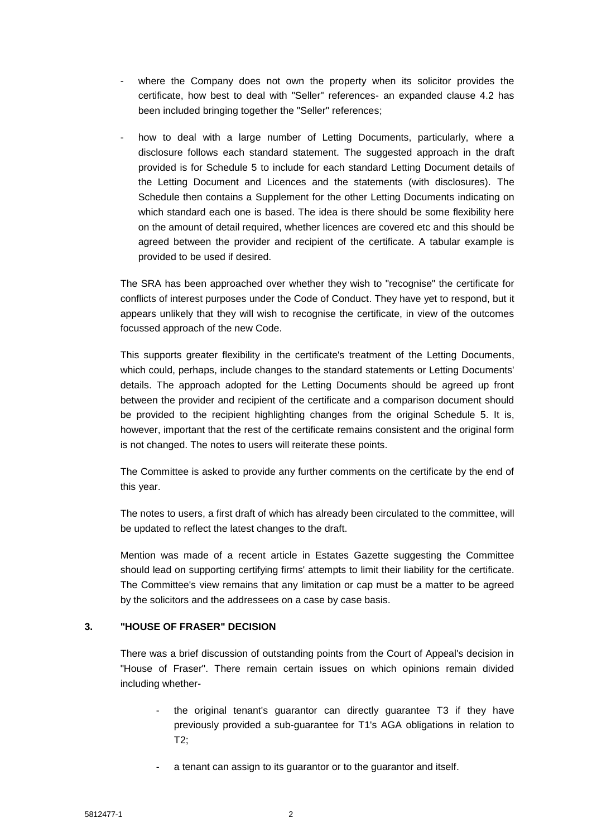- where the Company does not own the property when its solicitor provides the certificate, how best to deal with "Seller" references- an expanded clause 4.2 has been included bringing together the "Seller" references;
- how to deal with a large number of Letting Documents, particularly, where a disclosure follows each standard statement. The suggested approach in the draft provided is for Schedule 5 to include for each standard Letting Document details of the Letting Document and Licences and the statements (with disclosures). The Schedule then contains a Supplement for the other Letting Documents indicating on which standard each one is based. The idea is there should be some flexibility here on the amount of detail required, whether licences are covered etc and this should be agreed between the provider and recipient of the certificate. A tabular example is provided to be used if desired.

The SRA has been approached over whether they wish to "recognise" the certificate for conflicts of interest purposes under the Code of Conduct. They have yet to respond, but it appears unlikely that they will wish to recognise the certificate, in view of the outcomes focussed approach of the new Code.

This supports greater flexibility in the certificate's treatment of the Letting Documents, which could, perhaps, include changes to the standard statements or Letting Documents' details. The approach adopted for the Letting Documents should be agreed up front between the provider and recipient of the certificate and a comparison document should be provided to the recipient highlighting changes from the original Schedule 5. It is, however, important that the rest of the certificate remains consistent and the original form is not changed. The notes to users will reiterate these points.

The Committee is asked to provide any further comments on the certificate by the end of this year.

The notes to users, a first draft of which has already been circulated to the committee, will be updated to reflect the latest changes to the draft.

Mention was made of a recent article in Estates Gazette suggesting the Committee should lead on supporting certifying firms' attempts to limit their liability for the certificate. The Committee's view remains that any limitation or cap must be a matter to be agreed by the solicitors and the addressees on a case by case basis.

### **3. "HOUSE OF FRASER" DECISION**

There was a brief discussion of outstanding points from the Court of Appeal's decision in "House of Fraser". There remain certain issues on which opinions remain divided including whether-

- the original tenant's guarantor can directly guarantee T3 if they have previously provided a sub-guarantee for T1's AGA obligations in relation to T2;
- a tenant can assign to its guarantor or to the guarantor and itself.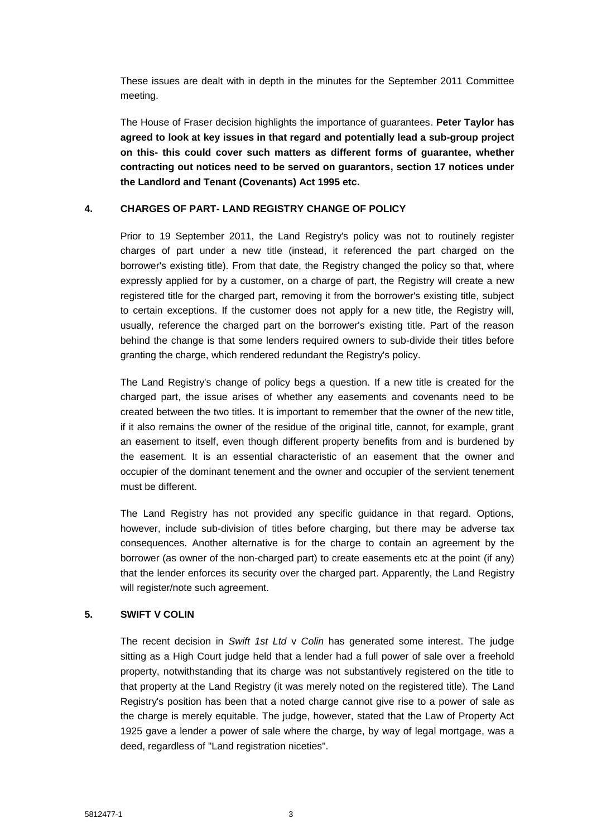These issues are dealt with in depth in the minutes for the September 2011 Committee meeting.

The House of Fraser decision highlights the importance of guarantees. **Peter Taylor has agreed to look at key issues in that regard and potentially lead a sub-group project on this- this could cover such matters as different forms of guarantee, whether contracting out notices need to be served on guarantors, section 17 notices under the Landlord and Tenant (Covenants) Act 1995 etc.**

#### **4. CHARGES OF PART- LAND REGISTRY CHANGE OF POLICY**

Prior to 19 September 2011, the Land Registry's policy was not to routinely register charges of part under a new title (instead, it referenced the part charged on the borrower's existing title). From that date, the Registry changed the policy so that, where expressly applied for by a customer, on a charge of part, the Registry will create a new registered title for the charged part, removing it from the borrower's existing title, subject to certain exceptions. If the customer does not apply for a new title, the Registry will, usually, reference the charged part on the borrower's existing title. Part of the reason behind the change is that some lenders required owners to sub-divide their titles before granting the charge, which rendered redundant the Registry's policy.

The Land Registry's change of policy begs a question. If a new title is created for the charged part, the issue arises of whether any easements and covenants need to be created between the two titles. It is important to remember that the owner of the new title, if it also remains the owner of the residue of the original title, cannot, for example, grant an easement to itself, even though different property benefits from and is burdened by the easement. It is an essential characteristic of an easement that the owner and occupier of the dominant tenement and the owner and occupier of the servient tenement must be different.

The Land Registry has not provided any specific guidance in that regard. Options, however, include sub-division of titles before charging, but there may be adverse tax consequences. Another alternative is for the charge to contain an agreement by the borrower (as owner of the non-charged part) to create easements etc at the point (if any) that the lender enforces its security over the charged part. Apparently, the Land Registry will register/note such agreement.

# **5. SWIFT V COLIN**

The recent decision in *Swift 1st Ltd* v *Colin* has generated some interest. The judge sitting as a High Court judge held that a lender had a full power of sale over a freehold property, notwithstanding that its charge was not substantively registered on the title to that property at the Land Registry (it was merely noted on the registered title). The Land Registry's position has been that a noted charge cannot give rise to a power of sale as the charge is merely equitable. The judge, however, stated that the Law of Property Act 1925 gave a lender a power of sale where the charge, by way of legal mortgage, was a deed, regardless of "Land registration niceties".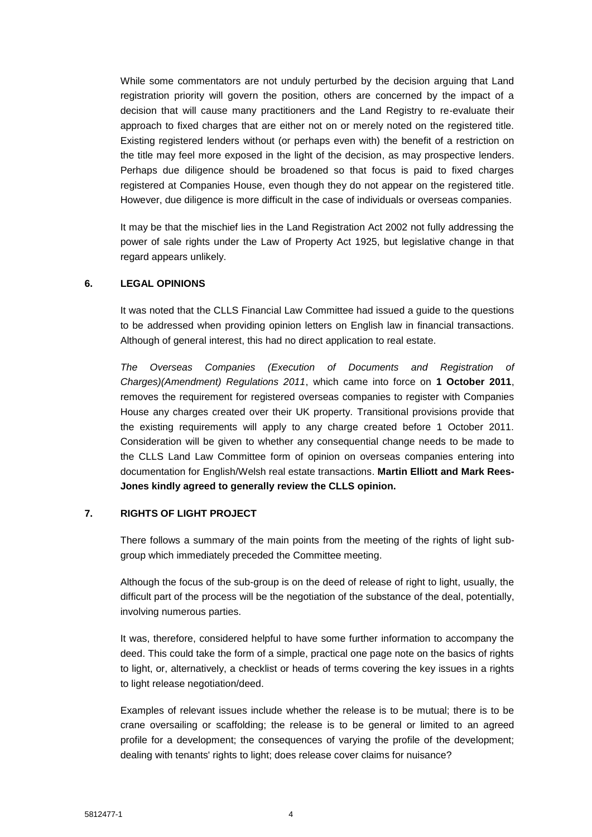While some commentators are not unduly perturbed by the decision arguing that Land registration priority will govern the position, others are concerned by the impact of a decision that will cause many practitioners and the Land Registry to re-evaluate their approach to fixed charges that are either not on or merely noted on the registered title. Existing registered lenders without (or perhaps even with) the benefit of a restriction on the title may feel more exposed in the light of the decision, as may prospective lenders. Perhaps due diligence should be broadened so that focus is paid to fixed charges registered at Companies House, even though they do not appear on the registered title. However, due diligence is more difficult in the case of individuals or overseas companies.

It may be that the mischief lies in the Land Registration Act 2002 not fully addressing the power of sale rights under the Law of Property Act 1925, but legislative change in that regard appears unlikely.

#### **6. LEGAL OPINIONS**

It was noted that the CLLS Financial Law Committee had issued a guide to the questions to be addressed when providing opinion letters on English law in financial transactions. Although of general interest, this had no direct application to real estate.

*The Overseas Companies (Execution of Documents and Registration of Charges)(Amendment) Regulations 2011*, which came into force on **1 October 2011**, removes the requirement for registered overseas companies to register with Companies House any charges created over their UK property. Transitional provisions provide that the existing requirements will apply to any charge created before 1 October 2011. Consideration will be given to whether any consequential change needs to be made to the CLLS Land Law Committee form of opinion on overseas companies entering into documentation for English/Welsh real estate transactions. **Martin Elliott and Mark Rees-Jones kindly agreed to generally review the CLLS opinion.**

#### **7. RIGHTS OF LIGHT PROJECT**

There follows a summary of the main points from the meeting of the rights of light subgroup which immediately preceded the Committee meeting.

Although the focus of the sub-group is on the deed of release of right to light, usually, the difficult part of the process will be the negotiation of the substance of the deal, potentially, involving numerous parties.

It was, therefore, considered helpful to have some further information to accompany the deed. This could take the form of a simple, practical one page note on the basics of rights to light, or, alternatively, a checklist or heads of terms covering the key issues in a rights to light release negotiation/deed.

Examples of relevant issues include whether the release is to be mutual; there is to be crane oversailing or scaffolding; the release is to be general or limited to an agreed profile for a development; the consequences of varying the profile of the development; dealing with tenants' rights to light; does release cover claims for nuisance?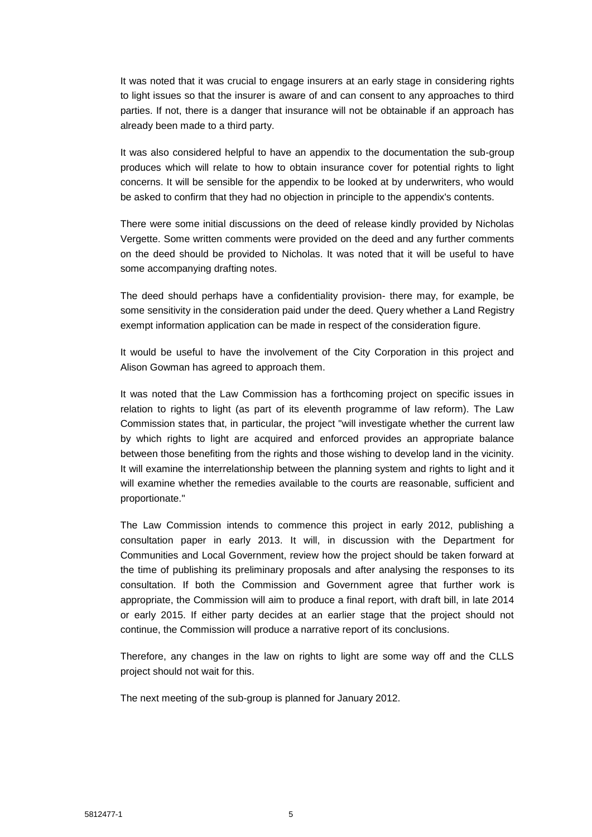It was noted that it was crucial to engage insurers at an early stage in considering rights to light issues so that the insurer is aware of and can consent to any approaches to third parties. If not, there is a danger that insurance will not be obtainable if an approach has already been made to a third party.

It was also considered helpful to have an appendix to the documentation the sub-group produces which will relate to how to obtain insurance cover for potential rights to light concerns. It will be sensible for the appendix to be looked at by underwriters, who would be asked to confirm that they had no objection in principle to the appendix's contents.

There were some initial discussions on the deed of release kindly provided by Nicholas Vergette. Some written comments were provided on the deed and any further comments on the deed should be provided to Nicholas. It was noted that it will be useful to have some accompanying drafting notes.

The deed should perhaps have a confidentiality provision- there may, for example, be some sensitivity in the consideration paid under the deed. Query whether a Land Registry exempt information application can be made in respect of the consideration figure.

It would be useful to have the involvement of the City Corporation in this project and Alison Gowman has agreed to approach them.

It was noted that the Law Commission has a forthcoming project on specific issues in relation to rights to light (as part of its eleventh programme of law reform). The Law Commission states that, in particular, the project "will investigate whether the current law by which rights to light are acquired and enforced provides an appropriate balance between those benefiting from the rights and those wishing to develop land in the vicinity. It will examine the interrelationship between the planning system and rights to light and it will examine whether the remedies available to the courts are reasonable, sufficient and proportionate."

The Law Commission intends to commence this project in early 2012, publishing a consultation paper in early 2013. It will, in discussion with the Department for Communities and Local Government, review how the project should be taken forward at the time of publishing its preliminary proposals and after analysing the responses to its consultation. If both the Commission and Government agree that further work is appropriate, the Commission will aim to produce a final report, with draft bill, in late 2014 or early 2015. If either party decides at an earlier stage that the project should not continue, the Commission will produce a narrative report of its conclusions.

Therefore, any changes in the law on rights to light are some way off and the CLLS project should not wait for this.

The next meeting of the sub-group is planned for January 2012.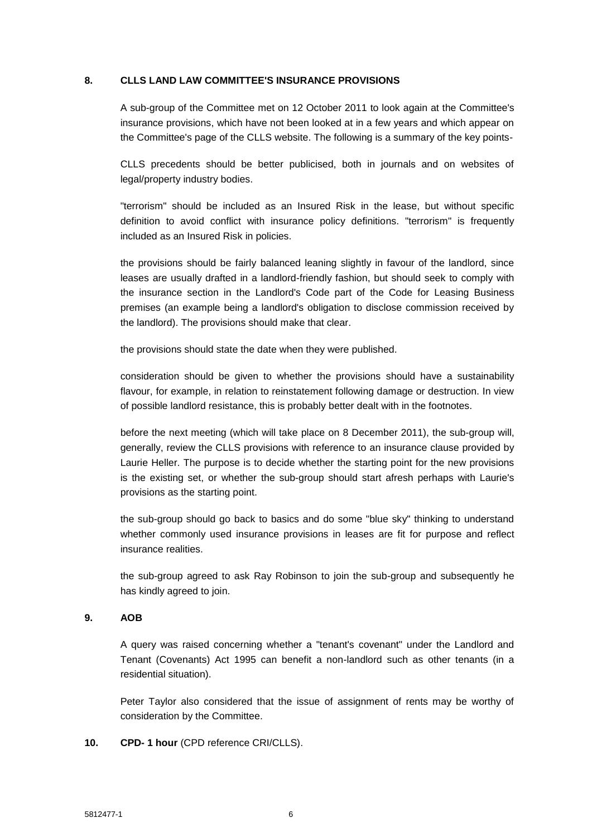#### **8. CLLS LAND LAW COMMITTEE'S INSURANCE PROVISIONS**

A sub-group of the Committee met on 12 October 2011 to look again at the Committee's insurance provisions, which have not been looked at in a few years and which appear on the Committee's page of the CLLS website. The following is a summary of the key points-

CLLS precedents should be better publicised, both in journals and on websites of legal/property industry bodies.

"terrorism" should be included as an Insured Risk in the lease, but without specific definition to avoid conflict with insurance policy definitions. "terrorism" is frequently included as an Insured Risk in policies.

the provisions should be fairly balanced leaning slightly in favour of the landlord, since leases are usually drafted in a landlord-friendly fashion, but should seek to comply with the insurance section in the Landlord's Code part of the Code for Leasing Business premises (an example being a landlord's obligation to disclose commission received by the landlord). The provisions should make that clear.

the provisions should state the date when they were published.

consideration should be given to whether the provisions should have a sustainability flavour, for example, in relation to reinstatement following damage or destruction. In view of possible landlord resistance, this is probably better dealt with in the footnotes.

before the next meeting (which will take place on 8 December 2011), the sub-group will, generally, review the CLLS provisions with reference to an insurance clause provided by Laurie Heller. The purpose is to decide whether the starting point for the new provisions is the existing set, or whether the sub-group should start afresh perhaps with Laurie's provisions as the starting point.

the sub-group should go back to basics and do some "blue sky" thinking to understand whether commonly used insurance provisions in leases are fit for purpose and reflect insurance realities.

the sub-group agreed to ask Ray Robinson to join the sub-group and subsequently he has kindly agreed to join.

### **9. AOB**

A query was raised concerning whether a "tenant's covenant" under the Landlord and Tenant (Covenants) Act 1995 can benefit a non-landlord such as other tenants (in a residential situation).

Peter Taylor also considered that the issue of assignment of rents may be worthy of consideration by the Committee.

**10. CPD- 1 hour** (CPD reference CRI/CLLS).